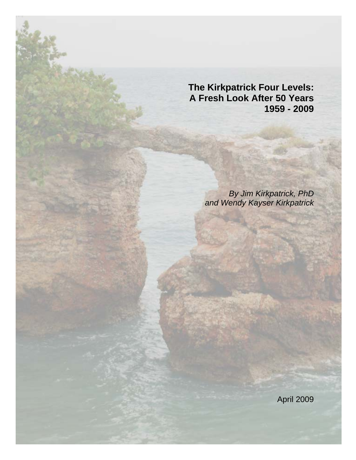**The Kirkpatrick Four Levels: A Fresh Look After 50 Years 1959 - 2009** 

> *By Jim Kirkpatrick, PhD and Wendy Kayser Kirkpatrick*

> > April 2009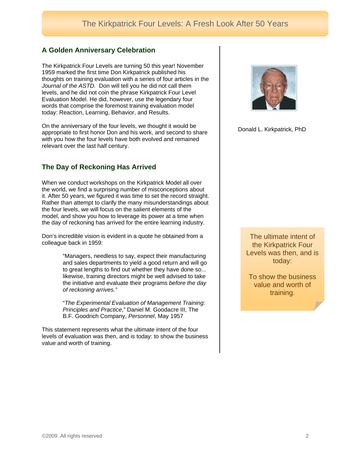## **A Golden Anniversary Celebration**

The Kirkpatrick Four Levels are turning 50 this year! November 1959 marked the first time Don Kirkpatrick published his thoughts on training evaluation with a series of four articles in the *Journal of the ASTD.* Don will tell you he did not call them levels, and he did not coin the phrase Kirkpatrick Four Level Evaluation Model. He did, however, use the legendary four words that comprise the foremost training evaluation model today: Reaction, Learning, Behavior, and Results.

On the anniversary of the four levels, we thought it would be appropriate to first honor Don and his work, and second to share with you how the four levels have both evolved and remained relevant over the last half century.

## **The Day of Reckoning Has Arrived**

When we conduct workshops on the Kirkpatrick Model all over the world, we find a surprising number of misconceptions about it. After 50 years, we figured it was time to set the record straight. Rather than attempt to clarify the many misunderstandings about the four levels, we will focus on the salient elements of the model, and show you how to leverage its power at a time when the day of reckoning has arrived for the entire learning industry.

Don's incredible vision is evident in a quote he obtained from a colleague back in 1959:

> "Managers, needless to say, expect their manufacturing and sales departments to yield a good return and will go to great lengths to find out whether they have done so... likewise, training directors might be well advised to take the initiative and evaluate their programs *before the day of reckoning arrives."*

> "*The Experimental Evaluation of Management Training: Principles and Practice*," Daniel M. Goodacre III, The B.F. Goodrich Company, *Personnel*, May 1957

This statement represents what the ultimate intent of the four levels of evaluation was then, and is today: to show the business value and worth of training.



Donald L. Kirkpatrick, PhD

The ultimate intent of the Kirkpatrick Four Levels was then, and is today:

To show the business value and worth of training.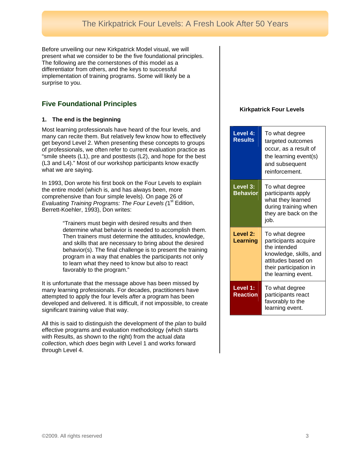Before unveiling our new Kirkpatrick Model visual, we will present what we consider to be the five foundational principles. The following are the cornerstones of this model as a differentiator from others, and the keys to successful implementation of training programs. Some will likely be a surprise to you.

# **Five Foundational Principles**

### **1. The end is the beginning**

Most learning professionals have heard of the four levels, and many can recite them. But relatively few know how to effectively get beyond Level 2. When presenting these concepts to groups of professionals, we often refer to current evaluation practice as "smile sheets (L1), pre and posttests (L2), and hope for the best (L3 and L4)." Most of our workshop participants know exactly what we are saying.

In 1993, Don wrote his first book on the Four Levels to explain the entire model (which is, and has always been, more comprehensive than four simple levels). On page 26 of *Evaluating Training Programs: The Four Levels (1<sup>st</sup> Edition,* Berrett-Koehler, 1993), Don writes:

> "Trainers must begin with desired results and then determine what behavior is needed to accomplish them. Then trainers must determine the attitudes, knowledge, and skills that are necessary to bring about the desired behavior(s). The final challenge is to present the training program in a way that enables the participants not only to learn what they need to know but also to react favorably to the program."

It is unfortunate that the message above has been missed by many learning professionals. For decades, practitioners have attempted to apply the four levels *after* a program has been developed and delivered. It is difficult, if not impossible, to create significant training value that way.

All this is said to distinguish the development of the *plan* to build effective programs and evaluation methodology (which starts with Results, as shown to the right) from the actual *data collection*, which *does* begin with Level 1 and works forward through Level 4.

### **Kirkpatrick Four Levels**

| Level 4:<br><b>Results</b>  | To what degree<br>targeted outcomes<br>occur, as a result of<br>the learning event(s)<br>and subsequent<br>reinforcement.                               |
|-----------------------------|---------------------------------------------------------------------------------------------------------------------------------------------------------|
| Level 3:<br><b>Behavior</b> | To what degree<br>participants apply<br>what they learned<br>during training when<br>they are back on the<br>job.                                       |
| Level 2:<br><b>Learning</b> | To what degree<br>participants acquire<br>the intended<br>knowledge, skills, and<br>attitudes based on<br>their participation in<br>the learning event. |
| Level 1:<br><b>Reaction</b> | To what degree<br>participants react<br>favorably to the<br>learning event.                                                                             |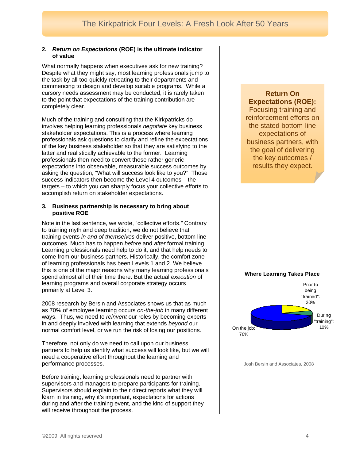#### **2.** *Return on Expectations* **(ROE) is the ultimate indicator of value**

What normally happens when executives ask for new training? Despite what they might say, most learning professionals jump to the task by all-too-quickly retreating to their departments and commencing to design and develop suitable programs. While a cursory needs assessment may be conducted, it is rarely taken to the point that expectations of the training contribution are completely clear.

Much of the training and consulting that the Kirkpatricks do involves helping learning professionals *negotiate* key business stakeholder expectations. This is a process where learning professionals ask questions to clarify and refine the expectations of the key business stakeholder so that they are satisfying to the latter and realistically achievable to the former. Learning professionals then need to convert those rather generic expectations into observable, measurable success outcomes by asking the question, "What will success look like to you?" Those success indicators then become the Level 4 outcomes – the targets – to which you can sharply focus your collective efforts to accomplish return on stakeholder expectations.

#### **3. Business partnership is necessary to bring about positive ROE**

Note in the last sentence, we wrote, "collective efforts.*"* Contrary to training myth and deep tradition, we do not believe that training events *in and of themselves* deliver positive, bottom line outcomes. Much has to happen *before* and *after* formal training. Learning professionals need help to do it, and that help needs to come from our business partners. Historically, the comfort zone of learning professionals has been Levels 1 and 2. We believe this is one of the major reasons why many learning professionals spend almost all of their time there. But the actual *execution* of learning programs and overall corporate strategy occurs primarily at Level 3.

2008 research by Bersin and Associates shows us that as much as 70% of employee learning occurs *on-the-job* in many different ways. Thus, we need to *reinvent* our roles by becoming experts in and deeply involved with learning that extends *beyond* our normal comfort level, or we run the risk of losing our positions.

performance processes. Therefore, not only do we need to call upon our business partners to help us identify what success will look like, but we will need a cooperative effort throughout the learning and

Before training, learning professionals need to partner with supervisors and managers to prepare participants for training. Supervisors should explain to their direct reports what they will learn in training, why it's important, expectations for actions during and after the training event, and the kind of support they will receive throughout the process.

## **Return On Expectations (ROE):**  Focusing training and reinforcement efforts on the stated bottom-line expectations of business partners, with the goal of delivering the key outcomes / results they expect.



Josh Bersin and Associates, 2008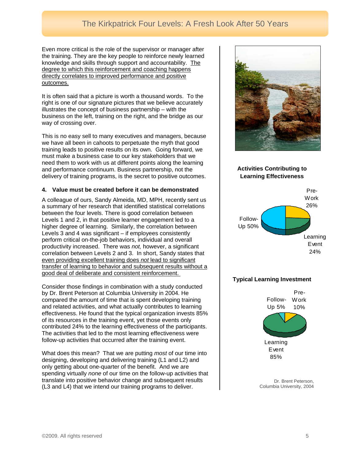# The Kirkpatrick Four Levels: A Fresh Look After 50 Years

Even more critical is the role of the supervisor or manag er after the training. They are the key people to reinforce newly learned knowledge and skills through support and accountability. The degree to which this reinforcement and coaching happens directly correlates to improved performance and positive outcomes.

It is often said that a picture is worth a thousand words. To the right is one of our signature pictures that we believe accurately illustrates the concept of business partnership – with the business on the left, training on the right, and the bridge as our way of crossing over.

This is no easy sell to many executives and managers, because we have all been in cahoots to perpetuate the myth that good training leads to positive results on its own. Going forward, we must make a business case to our key stakeholders that we need them to work with us at different points along the learning and performance continuum. Business partnership, not the delivery of training programs, is the secret to positive outcomes.

#### **4. Value must be created before it can be demonstrated**

A colleague of ours, Sandy Almeida, MD, MPH, recently sent us a summary of her research that identified statistical correlations between the four levels. There is good correlation between Levels 1 and 2, in that positive learner engagement led to a higher degree of learning. Similarly, the correlation between Levels 3 and 4 was significant – if employees consistently perform critical on-the-job behaviors, individual and overall productivity increased. There was *not,* however, a significant correlation between Levels 2 and 3. In short, Sandy states that even providing excellent training does *not* lead to significant transfer of learning to behavior and subsequent results without a good deal of deliberate and consistent reinforcement.

Consider those findings in combination with a study conducted by Dr. Brent Peterson at Columbia University in 2004. He compared the amount of time that is spent developing training and related activities, and what actually contributes to learning effectiveness. He found that the typical organization invests 85% of its resources in the training event, yet those events only contributed 24% to the learning effectiveness of the participants. The activities that led to the most learning effectiveness were follow-up activities that occurred after the training event.

What does this mean? That we are putting *most* of our time into designing, developing and delivering training (L1 and L2) and only getting about one-quarter of the benefit. And we are spending virtually *none* of our time on the follow-up activities that translate into positive behavior change and subsequent results (L3 and L4) that we intend our training programs to deliver.



### **Activities Contributing to Learning Effectiveness**



### **Typical Learning Investment**



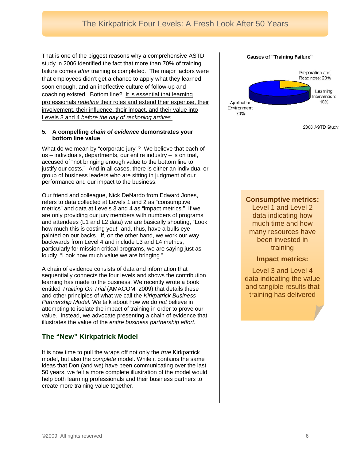failure comes *after* training is completed. The major factors were that employees didn't get a chance to apply what they learned soon enough, and an ineffective culture of follow-up and That is one of the biggest reasons why a comprehensive ASTD study in 2006 identified the fact that more than 70% of training coaching existed. Bottom line? It is essential that learning professionals *redefine* their roles and extend their expertise, their involvement, their influence, their impact, and their value into Levels 3 and 4 *before the day of reckoning arrives.* 

#### **5. A compelling** *chain of evidence* **demonstrates your bottom line value**

What do we mean by "corporate jury"? We believe that each of us – individuals, departments, our entire industry – is on trial, accused of "not bringing enough value to the bottom line to justify our costs." And in all cases, there is either an individu al or group of business leaders who are sitting in judgment of our performance and our impact to the business.

are only providing our jury members with numbers of programs and attendees (L1 and L2 data) we are basically shouting, "Look painted on our backs. If, on the other hand, we work our way Our friend and colleague, Nick DeNardo from Edward Jones, refers to data collected at Levels 1 and 2 as "consumptive metrics" and data at Levels 3 and 4 as "impact metrics." If we how much this is costing you!" and, thus, have a bulls eye backwards from Level 4 and include L3 and L4 metrics, particularly for mission critical programs, we are saying just as loudly, "Look how much value we are bringing."

sequentially connects the four levels and shows the contribution A chain of evidence consists of data and information that learning has made to the business. We recently wrote a book entitled *Training On Trial* (AMACOM, 2009) that details these and other principles of what we call the *Kirkpatrick Business Partnership Model.* We talk about how we do *not* believe in attempting to isolate the impact of training in order to prove our value. Instead, we advocate presenting a chain of evidence that illustrates the value of the *entire business partnership effort.* 

# **The "New" Kirkpatrick Model**

ideas that Don (and we) have been communicating over the last It is now time to pull the wraps off not only the *true* Kirkpatrick model, but also the *complete* model. While it contains the same 50 years, we felt a more complete illustration of the model would help both learning professionals and their business partners to create more training value together.

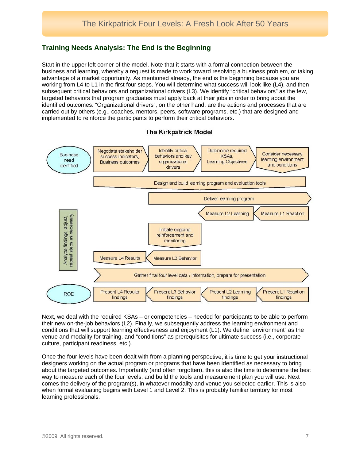## **Training Needs Analysis: The End is the Beginning**

Start in the upper left corner of the model. Note that it starts with a formal connection between the business and learning, whereby a request is made to work toward resolving a business problem, or taking advantage of a market opportunity. As mentioned already, the end is the beginning because you are working from L4 to L1 in the first four steps. You will determine what success will look like (L4), and then subsequent critical behaviors and organizational drivers (L3). We identify "critical behaviors" as the few, targeted behaviors that program graduates must apply back at their jobs in order to bring about the identified outcomes. "Organizational drivers", on the other hand, are the actions and processes that are carried out by others (e.g., coaches, mentors, peers, software programs, etc.) that are designed and implemented to reinforce the participants to perform their critical behaviors.



**The Kirkpatrick Model** 

Next, we deal with the required KSAs – or competencies – needed for participants to be able to perform their new on-the-job behaviors (L2). Finally, we subsequently address the learning environment and conditions that will support learning effectiveness and enjoyment (L1). We define "environment" as the venue and modality for training, and "conditions" as prerequisites for ultimate success (i.e., corporate culture, participant readiness, etc.).

Once the four levels have been dealt with from a planning perspective, it is time to get your instructional designers working on the actual program or programs that have been identified as necessary to bring about the targeted outcomes. Importantly (and often forgotten), this is also the time to determine the best way to measure each of the four levels, and build the tools and measurement plan you will use. Next comes the delivery of the program(s), in whatever modality and venue you selected earlier. This is also when formal evaluating begins with Level 1 and Level 2. This is probably familiar territory for most learning professionals.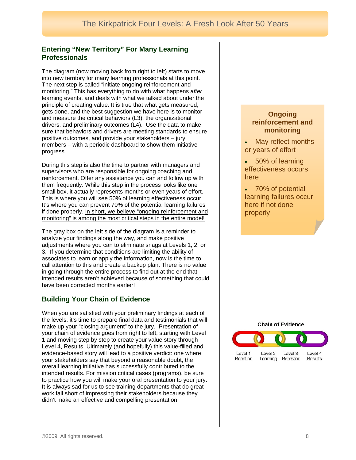## **Entering "New Territory" For Many Learning Professionals**

drivers, and preliminary outcomes (L4). Use the data to make sure that behaviors and drivers are meeting standards to ensure positive outcomes, and provide your stakeholders – jury members – with a periodic dashboard to show them initiative progress. The diagram (now moving back from right to left) starts to move into new territory for many learning professionals at this point. The next step is called "initiate ongoing reinforcement and monitoring." This has everything to do with what happens *after*  learning events, and deals with what we talked about under the principle of creating value. It is true that what gets measured, gets done, and the best suggestion we have here is to monitor and measure the critical behaviors (L3), the organizational

During this step is also the time to partner with managers and supervisors who are responsible for ongoing coaching and reinforcement. Offer any assistance you can and follow up with them frequently. While this step in the process looks like one small box, it actually represents months or even years of effort. This is where you will see 50% of learning effectiveness occur. It's where you can prevent 70% of the potential learning failures if done properly. In short, we believe "ongoing reinforcement and monitoring" is among the most critical steps in the entire model!

The gray box on the left side of the diagram is a reminder to analyze your findings along the way, and make positive adjustments where you can to eliminate snags at Levels 1, 2, or 3. If you determine that conditions are limiting the ability of associates to learn or apply the information, now is the time to call attention to this and create a backup plan. There is no value in going through the entire process to find out at the end that intended results aren't achieved because of something that could have been corrected months earlier!

# **Building Your Chain of Evidence**

Level 4, Results. Ultimately (and hopefully) this value-filled and didn't make an effective and compelling presentation. When you are satisfied with your preliminary findings at each of the levels, it's time to prepare final data and testimonials that will make up your "closing argument" to the jury. Presentation of your chain of evidence goes from right to left, starting with Level 1 and moving step by step to create your value story through evidence-based story will lead to a positive verdict: one where your stakeholders say that beyond a reasonable doubt, the overall learning initiative has successfully contributed to the intended results. For mission critical cases (programs), be sure to practice how you will make your oral presentation to your jury. It is always sad for us to see training departments that do great work fall short of impressing their stakeholders because they

## **Ongoing reinforcement and monitoring**

- May reflect months or years of effort
- 50% of learning effectiveness occurs here
- 70% of potential learning failures occur here if not done properly

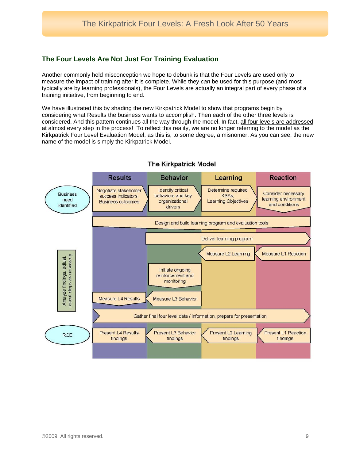# **The Four Levels Are Not Just For Training Evaluation**

Another commonly held misconception we hope to debunk is that the Four Levels are used only to measure the impact of training after it is complete. While they *can* be used for this purpose (and most typically are by learning professionals), the Four Levels are actually an integral part of every phase of a training initiative, from beginning to end.

We have illustrated this by shading the new Kirkpatrick Model to show that programs begin by considering what Results the business wants to accomplish. Then each of the other three levels is considered. And this pattern continues all the way through the model. In fact, all four levels are addressed at almost every step in the process! To reflect this reality, we are no longer referring to the model as the Kirkpatrick Four Level Evaluation Model, as this is, to some degree, a misnomer. As you can see, the new name of the model is simply the Kirkpatrick Model.



## **The Kirkpatrick Model**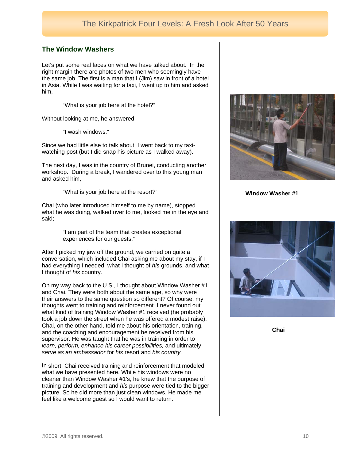## **The Window Washers**

Let's put some real faces on what we have talked about. In the right margin there are photos of two men who seemingly have the same job. The first is a man that I (Jim) saw in front of a hotel in Asia. While I was waiting for a taxi, I went up to him and asked him,

"What is your job here at the hotel?"

Without looking at me, he answered,

"I wash windows."

Since we had little else to talk about, I went back to my taxiwatching post (but I did snap his picture as I walked away).

The next day, I was in the country of Brunei, conducting another workshop. During a break, I wandered over to this young man and asked him,

"What is your job here at the resort?"

Chai (who later introduced himself to me by name), stopped what he was doing, walked over to me, looked me in the eye and said;

> "I am part of the team that creates exceptional experiences for our guests."

After I picked my jaw off the ground, we carried on quite a conversation, which included Chai asking me about my stay, if I had everything I needed, what I thought of *his* grounds, and what I thought of *his* country.

On my way back to the U.S., I thought about Window Washer #1 and Chai. They were both about the same age, so why were their answers to the same question so different? Of course, my thoughts went to training and reinforcement. I never found out what kind of training Window Washer #1 received (he probably took a job down the street when he was offered a modest raise). Chai, on the other hand, told me about his orientation, training, and the coaching and encouragement he received from his supervisor. He was taught that he was in training in order to *learn, perform, enhance his career possibilities,* and ultimately *serve as an ambassador* for *his* resort and *his country.* 

In short, Chai received training and reinforcement that modeled what we have presented here. While his windows were no cleaner than Window Washer #1's, he knew that the purpose of training and development and *his* purpose were tied to the bigger picture. So he did more than just clean windows. He made me feel like a welcome guest so I would want to return.



**Window Washer #1**



 **Chai**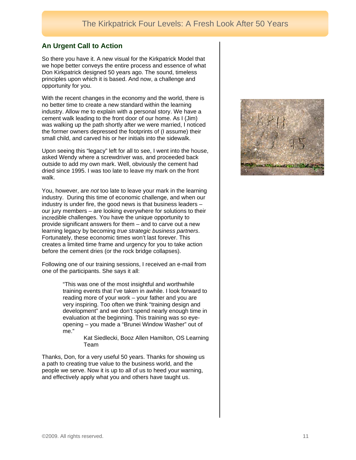## **An Urgent Call to Action**

So there you have it. A new visual for the Kirkpatrick Model that we hope better conveys the entire process and essence of what Don Kirkpatrick designed 50 years ago. The sound, timeless principles upon which it is based. And now, a challenge and opportunity for you.

With the recent changes in the economy and the world, there is no better time to create a new standard within the learning industry. Allow me to explain with a personal story. We have a cement walk leading to the front door of our home. As I (Jim) was walking up the path shortly after we were married, I noticed the former owners depressed the footprints of (I assume) their small child, and carved his or her initials into the sidewalk.

Upon seeing this "legacy" left for all to see, I went into the house, asked Wendy where a screwdriver was, and proceeded back outside to add my own mark. Well, obviously the cement had dried since 1995. I was too late to leave my mark on the front walk.

You, however, are *not* too late to leave your mark in the learning industry. During this time of economic challenge, and when our industry is under fire, the good news is that business leaders incredible challenges. You have the unique opportunity to provide significant answers for them – and to carve out a new learning legacy by becoming *true strategic business partners*. Fortunately, these economic times won't last forever. This creates a limited time frame and urgency for you to take action our jury members – are looking everywhere for solutions to their before the cement dries (or the rock bridge collapses).

one of the participants. She says it all: Following one of our training sessions, I received an e-mail from

> training events that I've taken in awhile. I look forward to "This was one of the most insightful and worthwhile reading more of your work – your father and you are very inspiring. Too often we think "training design and development" and we don't spend nearly enough time in evaluation at the beginning. This training was so eyeopening – you made a "Brunei Window Washer" out of me."

> > Kat Siedlecki, Booz Allen Hamilton, OS Learning Team

Thanks, Don, for a very useful 50 years. Thanks for showing us a path to creating true value to the business world, and the people we serve. Now it is up to all of us to heed your warning, and effectively apply what you and others have taught us.

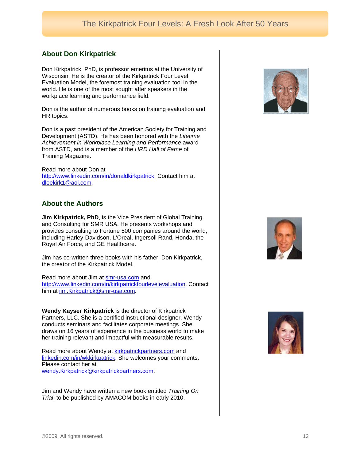# **About Don Kirkpatrick**

world. He is one of the most sought after speakers in the Don Kirkpatrick, PhD, is professor emeritus at the University of Wisconsin. He is the creator of the Kirkpatrick Four Level Evaluation Model, the foremost training evaluation tool in the workplace learning and performance field.

Don is the author of numerous books on training evaluation and HR topics.

Achievement in Workplace Learning and Performance award Don is a past president of the American Society for Training and Development (ASTD). He has been honored with the *Lifetime*  from ASTD, and is a member of the *HRD Hall of Fame* of Training Magazine.

http://www.linkedin.com/in/donaldkirkpatrick. Contact him at Read more about Don at dleekirk1@aol.com.

# **About the Authors**

**Jim Kirkpatrick, PhD**, is the Vice President of Global Training including Harley-Davidson, L'Oreal, Ingersoll Rand, Honda, the and Consulting for SMR USA. He presents workshops and provides consulting to Fortune 500 companies around the world, Royal Air Force, and GE Healthcare.

Jim has co-written three books with his father, Don Kirkpatrick, the creator of the Kirkpatrick Model.

Read more about Jim at **smr-usa.com** and http://www.linkedin.com/in/kirkpatrickfourlevelevaluation. Contact him at <u>jim.Kirkpatrick@smr-usa.com</u>.

Wendy Kayser Kirkpatrick is the director of Kirkpatrick Partners, LLC. She is a certified instructional designer. Wendy conducts seminars and facilitates corporate meetings. She draws on 16 years of experience in the business world to make her training relevant and impactful with measurable results.

Read more about Wendy at **kirkpatrickpartners.com** and linkedin.com/in/wkkirkpatrick. She welcomes your comments. Please contact her at wendy.Kirkpatrick@kirkpatrickpartners.com.

Jim and Wendy have written a new book entitled *Training On Trial*, to be published by AMACOM books in early 2010.